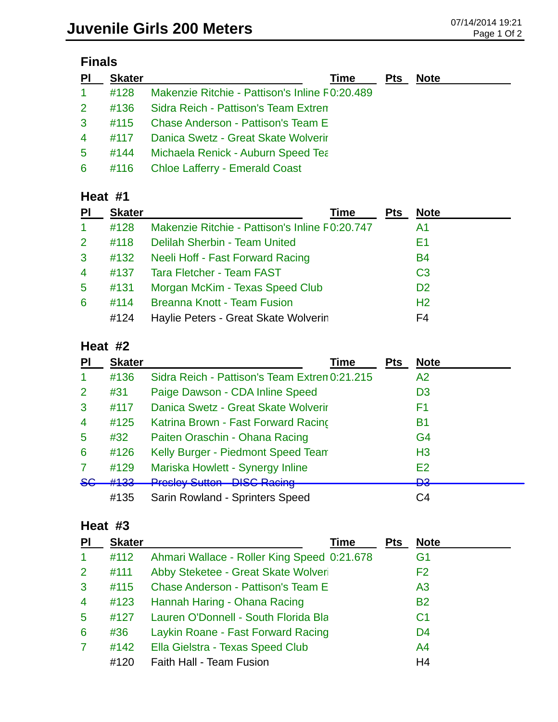| ınaı |  |
|------|--|
|------|--|

| <u>PI</u>      | <b>Skater</b> | Pts<br>Time                                    | <b>Note</b> |
|----------------|---------------|------------------------------------------------|-------------|
| 1 <sup>1</sup> | #128          | Makenzie Ritchie - Pattison's Inline F0:20.489 |             |
| 2 <sup>2</sup> | #136          | Sidra Reich - Pattison's Team Extren           |             |
| 3 <sup>1</sup> | #115          | Chase Anderson - Pattison's Team E             |             |
| $\overline{4}$ | #117          | Danica Swetz - Great Skate Wolverir            |             |
| 5              | #144          | <b>Michaela Renick - Auburn Speed Tea</b>      |             |
| 6              |               | #116 Chloe Lafferry - Emerald Coast            |             |

#### **Heat #1**

| <b>PI</b>            | <b>Skater</b> | Time                                           | <b>Pts</b> | <b>Note</b>    |  |
|----------------------|---------------|------------------------------------------------|------------|----------------|--|
| $\blacktriangleleft$ | #128          | Makenzie Ritchie - Pattison's Inline F0:20.747 |            | A1             |  |
| 2 <sup>1</sup>       | #118          | Delilah Sherbin - Team United                  |            | Ε1             |  |
| 3                    | #132          | Neeli Hoff - Fast Forward Racing               |            | <b>B4</b>      |  |
| $\overline{4}$       | #137          | <b>Tara Fletcher - Team FAST</b>               |            | C <sub>3</sub> |  |
| $5\overline{)}$      | #131          | Morgan McKim - Texas Speed Club                |            | D <sub>2</sub> |  |
| 6                    | #114          | <b>Breanna Knott - Team Fusion</b>             |            | H <sub>2</sub> |  |
|                      | #124          | Haylie Peters - Great Skate Wolverin           |            | F4             |  |

#### **Heat #2**

| PI             | <b>Skater</b> | Time                                          | <b>Pts</b> | <b>Note</b>    |
|----------------|---------------|-----------------------------------------------|------------|----------------|
|                | #136          | Sidra Reich - Pattison's Team Extrem 0:21.215 |            | A2             |
| 2              | #31           | Paige Dawson - CDA Inline Speed               |            | D <sub>3</sub> |
| 3              | #117          | Danica Swetz - Great Skate Wolverir           |            | F1             |
| $\overline{4}$ | #125          | Katrina Brown - Fast Forward Racing           |            | <b>B1</b>      |
| 5              | #32           | Paiten Oraschin - Ohana Racing                |            | G4             |
| 6              | #126          | Kelly Burger - Piedmont Speed Team            |            | H <sub>3</sub> |
| 7              | #129          | Mariska Howlett - Synergy Inline              |            | E2             |
| <del>SG</del>  | #133          | <b>Presley Sutton - DISC Racing</b>           |            | ≏ם<br>v        |
|                | #135          | Sarin Rowland - Sprinters Speed               |            | C4             |

### **Heat #3**

| PI                   | <b>Skater</b> | Time                                        | <b>Pts</b> | <b>Note</b>    |
|----------------------|---------------|---------------------------------------------|------------|----------------|
| $\blacktriangleleft$ | #112          | Ahmari Wallace - Roller King Speed 0:21.678 |            | G <sub>1</sub> |
| $\overline{2}$       | #111          | Abby Steketee - Great Skate Wolveri         |            | F <sub>2</sub> |
| 3                    | #115          | <b>Chase Anderson - Pattison's Team E</b>   |            | A <sub>3</sub> |
| $\overline{4}$       | #123          | Hannah Haring - Ohana Racing                |            | <b>B2</b>      |
| $\overline{5}$       | #127          | Lauren O'Donnell - South Florida Bla        |            | C <sub>1</sub> |
| 6                    | #36           | Laykin Roane - Fast Forward Racing          |            | D <sub>4</sub> |
| $\overline{7}$       | #142          | Ella Gielstra - Texas Speed Club            |            | A <sub>4</sub> |
|                      | #120          | Faith Hall - Team Fusion                    |            | H <sub>4</sub> |